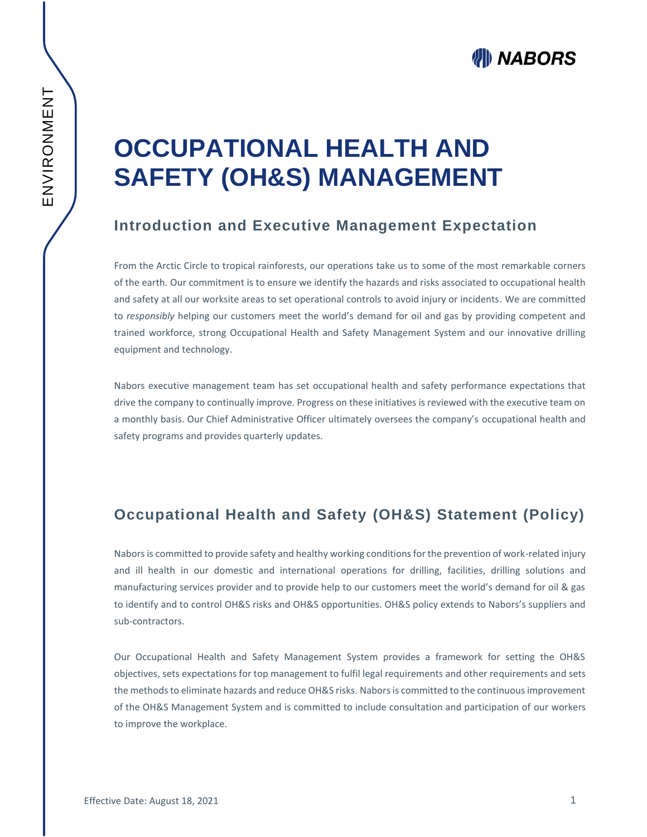# **OCCUPATIONAL HEALTH AND SAFETY (OH&S) MANAGEMENT**

#### **Introduction and Executive Management Expectation**

From the Arctic Circle to tropical rainforests, our operations take us to some of the most remarkable corners of the earth. Our commitment is to ensure we identify the hazards and risks associated to occupational health and safety at all our worksite areas to set operational controls to avoid injury or incidents. We are committed to *responsibly* helping our customers meet the world's demand for oil and gas by providing competent and trained workforce, strong Occupational Health and Safety Management System and our innovative drilling equipment and technology.

Nabors executive management team has set occupational health and safety performance expectations that drive the company to continually improve. Progress on these initiatives is reviewed with the executive team on a monthly basis. Our Chief Administrative Officer ultimately oversees the company's occupational health and safety programs and provides quarterly updates.

## **Occupational Health and Safety (OH&S) Statement (Policy)**

Nabors is committed to provide safety and healthy working conditions for the prevention of work-related injury and ill health in our domestic and international operations for drilling, facilities, drilling solutions and manufacturing services provider and to provide help to our customers meet the world's demand for oil & gas to identify and to control OH&S risks and OH&S opportunities. OH&S policy extends to Nabors's suppliers and sub-contractors.

Our Occupational Health and Safety Management System provides a framework for setting the OH&S objectives, sets expectations for top management to fulfil legal requirements and other requirements and sets the methods to eliminate hazards and reduce OH&S risks. Nabors is committed to the continuous improvement of the OH&S Management System and is committed to include consultation and participation of our workers to improve the workplace.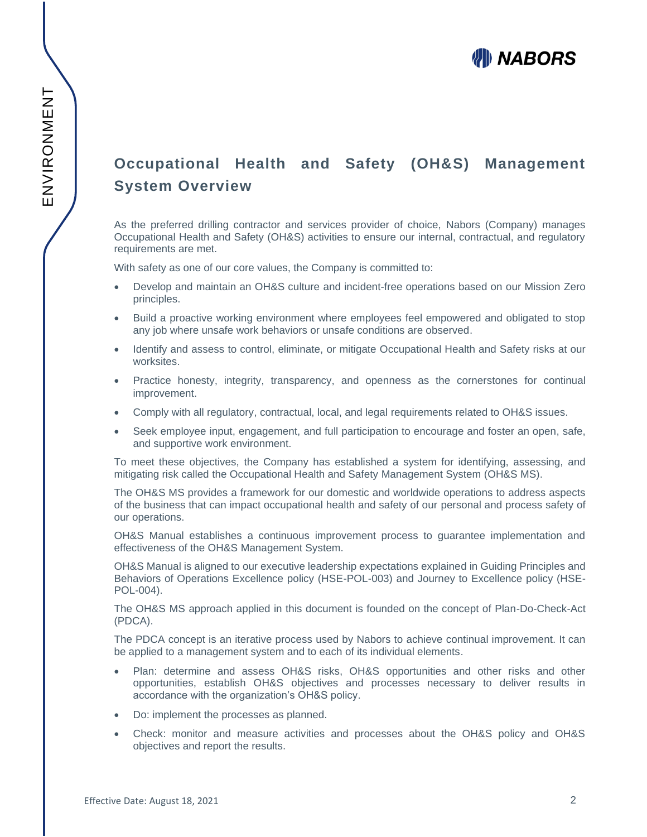# **Occupational Health and Safety (OH&S) Management System Overview**

As the preferred drilling contractor and services provider of choice, Nabors (Company) manages Occupational Health and Safety (OH&S) activities to ensure our internal, contractual, and regulatory requirements are met.

With safety as one of our core values, the Company is committed to:

- Develop and maintain an OH&S culture and incident-free operations based on our Mission Zero principles.
- Build a proactive working environment where employees feel empowered and obligated to stop any job where unsafe work behaviors or unsafe conditions are observed.
- Identify and assess to control, eliminate, or mitigate Occupational Health and Safety risks at our worksites.
- Practice honesty, integrity, transparency, and openness as the cornerstones for continual improvement.
- Comply with all regulatory, contractual, local, and legal requirements related to OH&S issues.
- Seek employee input, engagement, and full participation to encourage and foster an open, safe, and supportive work environment.

To meet these objectives, the Company has established a system for identifying, assessing, and mitigating risk called the Occupational Health and Safety Management System (OH&S MS).

The OH&S MS provides a framework for our domestic and worldwide operations to address aspects of the business that can impact occupational health and safety of our personal and process safety of our operations.

OH&S Manual establishes a continuous improvement process to guarantee implementation and effectiveness of the OH&S Management System.

OH&S Manual is aligned to our executive leadership expectations explained in Guiding Principles and Behaviors of Operations Excellence policy (HSE-POL-003) and Journey to Excellence policy (HSE-POL-004).

The OH&S MS approach applied in this document is founded on the concept of Plan-Do-Check-Act (PDCA).

The PDCA concept is an iterative process used by Nabors to achieve continual improvement. It can be applied to a management system and to each of its individual elements.

- Plan: determine and assess OH&S risks, OH&S opportunities and other risks and other opportunities, establish OH&S objectives and processes necessary to deliver results in accordance with the organization's OH&S policy.
- Do: implement the processes as planned.
- Check: monitor and measure activities and processes about the OH&S policy and OH&S objectives and report the results.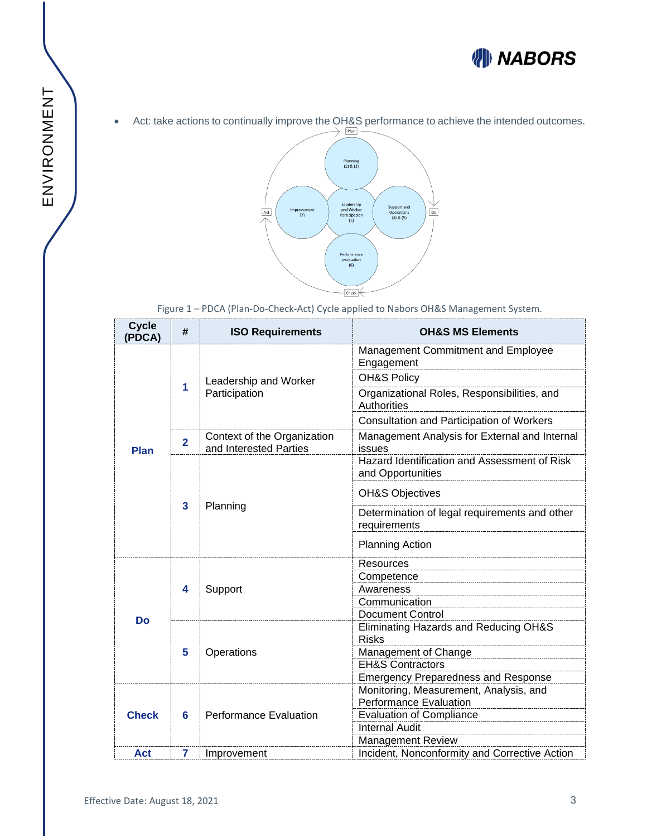

• Act: take actions to continually improve the OH&S performance to achieve the intended outcomes.



Figure 1 – PDCA (Plan-Do-Check-Act) Cycle applied to Nabors OH&S Management System.

| <b>Cycle</b><br>(PDCA) | #              | <b>ISO Requirements</b>                               | <b>OH&amp;S MS Elements</b>                                       |
|------------------------|----------------|-------------------------------------------------------|-------------------------------------------------------------------|
| <b>Plan</b>            | 1              | Leadership and Worker<br>Participation                | Management Commitment and Employee<br>Engagement                  |
|                        |                |                                                       | <b>OH&amp;S Policy</b>                                            |
|                        |                |                                                       | Organizational Roles, Responsibilities, and<br><b>Authorities</b> |
|                        |                |                                                       | Consultation and Participation of Workers                         |
|                        | $\overline{2}$ | Context of the Organization<br>and Interested Parties | Management Analysis for External and Internal<br>issues           |
|                        | 3              | Planning                                              | Hazard Identification and Assessment of Risk<br>and Opportunities |
|                        |                |                                                       | <b>OH&amp;S Objectives</b>                                        |
|                        |                |                                                       | Determination of legal requirements and other<br>requirements     |
|                        |                |                                                       | <b>Planning Action</b>                                            |
| <b>Do</b>              | 4              | Support                                               | Resources                                                         |
|                        |                |                                                       | Competence                                                        |
|                        |                |                                                       | Awareness                                                         |
|                        |                |                                                       | Communication<br>Document Control                                 |
|                        | 5              | Operations                                            | Eliminating Hazards and Reducing OH&S                             |
|                        |                |                                                       | <b>Risks</b>                                                      |
|                        |                |                                                       | Management of Change                                              |
|                        |                |                                                       | <b>EH&amp;S Contractors</b>                                       |
|                        |                |                                                       | <b>Emergency Preparedness and Response</b>                        |
| <b>Check</b>           | 6              | <b>Performance Evaluation</b>                         | Monitoring, Measurement, Analysis, and                            |
|                        |                |                                                       | <b>Performance Evaluation</b>                                     |
|                        |                |                                                       | <b>Evaluation of Compliance</b>                                   |
|                        |                |                                                       | <b>Internal Audit</b>                                             |
|                        |                |                                                       | <b>Management Review</b>                                          |
| Act                    | 7              | Improvement                                           | Incident, Nonconformity and Corrective Action                     |